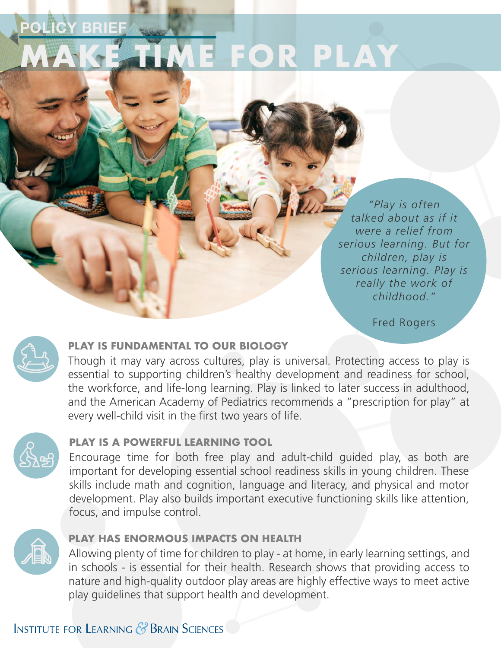# *<u><b>ICY BRIE</u>* **E FOR PLAY**

*"Play is often talked about as if it were a relief from serious learning. But for children, play is serious learning. Play is really the work of childhood."*

Fred Rogers



### **PLAY IS FUNDAMENTAL TO OUR BIOLOGY**

Though it may vary across cultures, play is universal. Protecting access to play is essential to supporting children's healthy development and readiness for school, the workforce, and life-long learning. Play is linked to later success in adulthood, and the American Academy of Pediatrics recommends a "prescription for play" at every well-child visit in the first two years of life.



### **PLAY IS A POWERFUL LEARNING TOOL**

Encourage time for both free play and adult-child guided play, as both are important for developing essential school readiness skills in young children. These skills include math and cognition, language and literacy, and physical and motor development. Play also builds important executive functioning skills like attention, focus, and impulse control.



#### **PLAY HAS ENORMOUS IMPACTS ON HEALTH**

Allowing plenty of time for children to play - at home, in early learning settings, and in schools - is essential for their health. Research shows that providing access to nature and high-quality outdoor play areas are highly effective ways to meet active play guidelines that support health and development.

### **INSTITUTE FOR LEARNING & BRAIN SCIENCES**